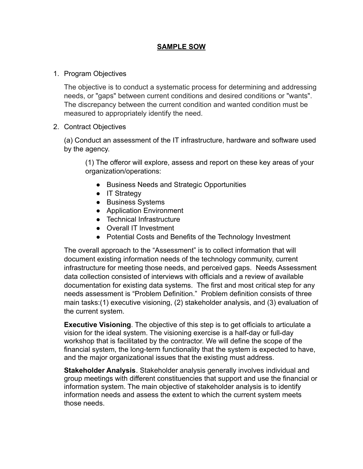## **SAMPLE SOW**

## 1. Program Objectives

The objective is to conduct a systematic process for determining and addressing needs, or "gaps" between current conditions and desired conditions or "wants". The discrepancy between the current condition and wanted condition must be measured to appropriately identify the need.

## 2. Contract Objectives

(a) Conduct an assessment of the IT infrastructure, hardware and software used by the agency.

(1) The offeror will explore, assess and report on these key areas of your organization/operations:

- Business Needs and Strategic Opportunities
- IT Strategy
- Business Systems
- Application Environment
- Technical Infrastructure
- Overall IT Investment
- Potential Costs and Benefits of the Technology Investment

The overall approach to the "Assessment" is to collect information that will document existing information needs of the technology community, current infrastructure for meeting those needs, and perceived gaps. Needs Assessment data collection consisted of interviews with officials and a review of available documentation for existing data systems. The first and most critical step for any needs assessment is "Problem Definition." Problem definition consists of three main tasks:(1) executive visioning, (2) stakeholder analysis, and (3) evaluation of the current system.

**Executive Visioning**. The objective of this step is to get officials to articulate a vision for the ideal system. The visioning exercise is a half-day or full-day workshop that is facilitated by the contractor. We will define the scope of the financial system, the long-term functionality that the system is expected to have, and the major organizational issues that the existing must address.

**Stakeholder Analysis**. Stakeholder analysis generally involves individual and group meetings with different constituencies that support and use the financial or information system. The main objective of stakeholder analysis is to identify information needs and assess the extent to which the current system meets those needs.